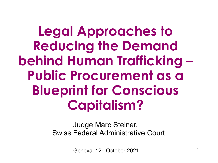**Legal Approaches to Reducing the Demand behind Human Trafficking – Public Procurement as a Blueprint for Conscious Capitalism?**

> Judge Marc Steiner, Swiss Federal Administrative Court

> > Geneva, 12<sup>th</sup> October 2021 1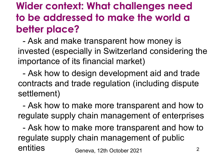## **Wider context: What challenges need to be addressed to make the world a better place?**

- Ask and make transparent how money is invested (especially in Switzerland considering the importance of its financial market)

- Ask how to design development aid and trade contracts and trade regulation (including dispute settlement)

- Ask how to make more transparent and how to regulate supply chain management of enterprises

Geneva, 12th October 2021 **2** 2 - Ask how to make more transparent and how to regulate supply chain management of public entities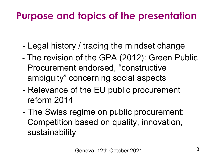## **Purpose and topics of the presentation**

- Legal history / tracing the mindset change
- The revision of the GPA (2012): Green Public Procurement endorsed, "constructive ambiguity" concerning social aspects
- Relevance of the EU public procurement reform 2014
- The Swiss regime on public procurement: Competition based on quality, innovation, sustainability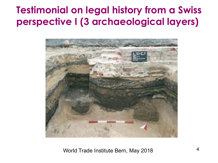#### **Testimonial on legal history from a Swiss perspective I (3 archaeological layers)**



World Trade Institute Bern, May 2018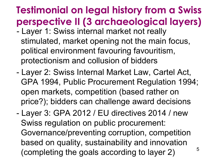# **Testimonial on legal history from a Swiss perspective II (3 archaeological layers)**

- Layer 1: Swiss internal market not really stimulated, market opening not the main focus, political environment favouring favouritism, protectionism and collusion of bidders
- Layer 2: Swiss Internal Market Law, Cartel Act, GPA 1994, Public Procurement Regulation 1994; open markets, competition (based rather on price?); bidders can challenge award decisions
- Layer 3: GPA 2012 / EU directives 2014 / new Swiss regulation on public procurement: Governance/preventing corruption, competition based on quality, sustainability and innovation (completing the goals according to layer 2)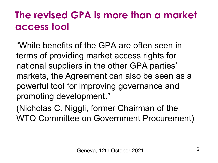# **The revised GPA is more than a market access tool**

"While benefits of the GPA are often seen in terms of providing market access rights for national suppliers in the other GPA parties' markets, the Agreement can also be seen as a powerful tool for improving governance and promoting development."

(Nicholas C. Niggli, former Chairman of the WTO Committee on Government Procurement)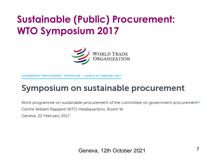## **Sustainable (Public) Procurement: WTO Symposium 2017**



**PROCUREMENT: SYMPOSIUM - GENEVA 22 FEBRUARY 2017** 

#### Symposium on sustainable procurement

Work programme on sustainable procurement of the committee on government procurement  $\mathbb{I}^{\mathbb{I}}$ Centre William Rappard (WTO Headquarters), Room W Geneva, 22 February 2017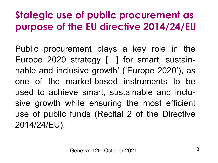# **Stategic use of public procurement as purpose of the EU directive 2014/24/EU**

Public procurement plays a key role in the Europe 2020 strategy […] for smart, sustainnable and inclusive growth' ('Europe 2020'), as one of the market-based instruments to be used to achieve smart, sustainable and inclusive growth while ensuring the most efficient use of public funds (Recital 2 of the Directive 2014/24/EU).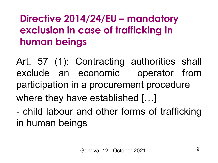## **Directive 2014/24/EU – mandatory exclusion in case of trafficking in human beings**

Art. 57 (1): Contracting authorities shall exclude an economic operator from participation in a procurement procedure where they have established [...]

- child labour and other forms of trafficking in human beings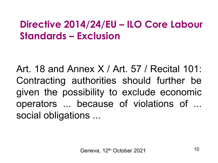## **Directive 2014/24/EU – ILO Core Labour Standards – Exclusion**

Art. 18 and Annex X / Art. 57 / Recital 101: Contracting authorities should further be given the possibility to exclude economic operators ... because of violations of ... social obligations ...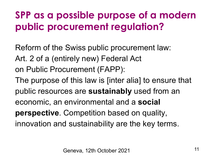# **SPP as a possible purpose of a modern public procurement regulation?**

Reform of the Swiss public procurement law: Art. 2 of a (entirely new) Federal Act on Public Procurement (FAPP):

The purpose of this law is [inter alia] to ensure that public resources are **sustainably** used from an economic, an environmental and a **social perspective**. Competition based on quality, innovation and sustainability are the key terms.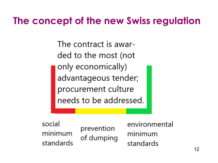#### **The concept of the new Swiss regulation**

The contract is awarded to the most (not only economically) advantageous tender; procurement culture needs to be addressed.

social minimum standards

prevention of dumping environmental minimum standards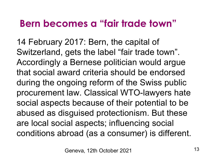#### **Bern becomes a "fair trade town"**

14 February 2017: Bern, the capital of Switzerland, gets the label "fair trade town". Accordingly a Bernese politician would argue that social award criteria should be endorsed during the ongoing reform of the Swiss public procurement law. Classical WTO-lawyers hate social aspects because of their potential to be abused as disguised protectionism. But these are local social aspects; influencing social conditions abroad (as a consumer) is different.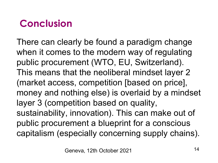# **Conclusion**

There can clearly be found a paradigm change when it comes to the modern way of regulating public procurement (WTO, EU, Switzerland). This means that the neoliberal mindset layer 2 (market access, competition [based on price], money and nothing else) is overlaid by a mindset layer 3 (competition based on quality, sustainability, innovation). This can make out of public procurement a blueprint for a conscious capitalism (especially concerning supply chains).